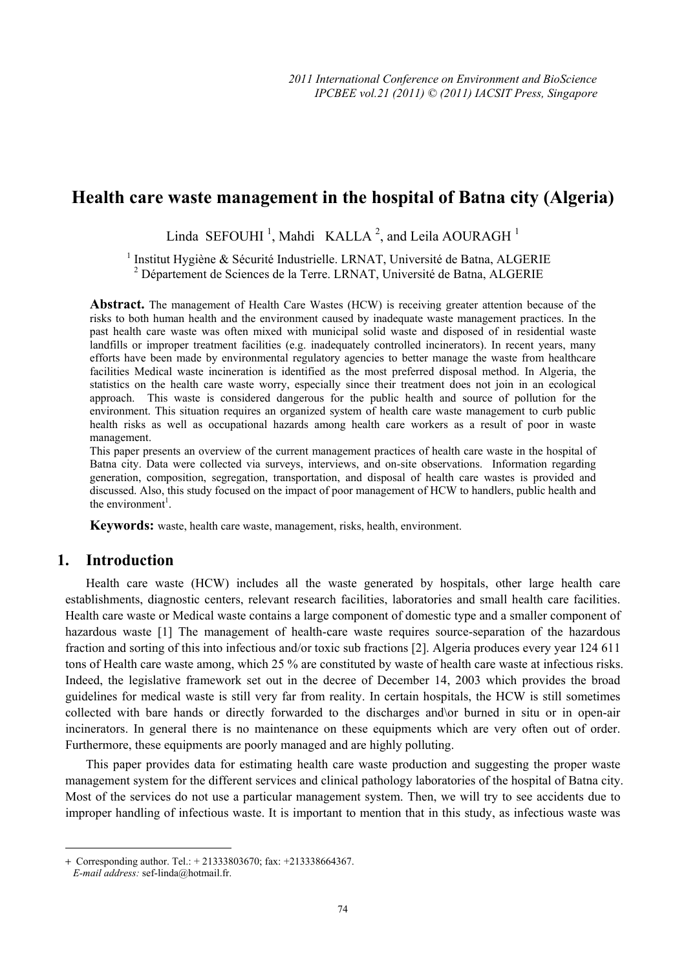# **Health care waste management in the hospital of Batna city (Algeria)**

Linda SEFOUHI<sup>1</sup>, Mahdi KALLA<sup>2</sup>, and Leila AOURAGH<sup>1</sup>

<sup>1</sup> Institut Hygiène & Sécurité Industrielle. LRNAT, Université de Batna, ALGERIE <sup>2</sup> Département de Sciences de la Terre. LRNAT, Université de Batna, ALGERIE

**Abstract.** The management of Health Care Wastes (HCW) is receiving greater attention because of the risks to both human health and the environment caused by inadequate waste management practices. In the past health care waste was often mixed with municipal solid waste and disposed of in residential waste landfills or improper treatment facilities (e.g. inadequately controlled incinerators). In recent years, many efforts have been made by environmental regulatory agencies to better manage the waste from healthcare facilities Medical waste incineration is identified as the most preferred disposal method. In Algeria, the statistics on the health care waste worry, especially since their treatment does not join in an ecological approach. This waste is considered dangerous for the public health and source of pollution for the environment. This situation requires an organized system of health care waste management to curb public health risks as well as occupational hazards among health care workers as a result of poor in waste management.

This paper presents an overview of the current management practices of health care waste in the hospital of Batna city. Data were collected via surveys, interviews, and on-site observations. Information regarding generation, composition, segregation, transportation, and disposal of health care wastes is provided and discussed. Also, this study focused on the impact of poor management of HCW to handlers, public health and the environment<sup>1</sup>.

**Keywords:** waste, health care waste, management, risks, health, environment.

#### **1. Introduction**

Health care waste (HCW) includes all the waste generated by hospitals, other large health care establishments, diagnostic centers, relevant research facilities, laboratories and small health care facilities. Health care waste or Medical waste contains a large component of domestic type and a smaller component of hazardous waste [1] The management of health-care waste requires source-separation of the hazardous fraction and sorting of this into infectious and/or toxic sub fractions [2]. Algeria produces every year 124 611 tons of Health care waste among, which 25 % are constituted by waste of health care waste at infectious risks. Indeed, the legislative framework set out in the decree of December 14, 2003 which provides the broad guidelines for medical waste is still very far from reality. In certain hospitals, the HCW is still sometimes collected with bare hands or directly forwarded to the discharges and\or burned in situ or in open-air incinerators. In general there is no maintenance on these equipments which are very often out of order. Furthermore, these equipments are poorly managed and are highly polluting.

This paper provides data for estimating health care waste production and suggesting the proper waste management system for the different services and clinical pathology laboratories of the hospital of Batna city. Most of the services do not use a particular management system. Then, we will try to see accidents due to improper handling of infectious waste. It is important to mention that in this study, as infectious waste was

 $\overline{\phantom{a}}$ 

<sup>+</sup> Corresponding author. Tel.: + 21333803670; fax: +213338664367.

*E-mail address:* sef-linda@hotmail.fr.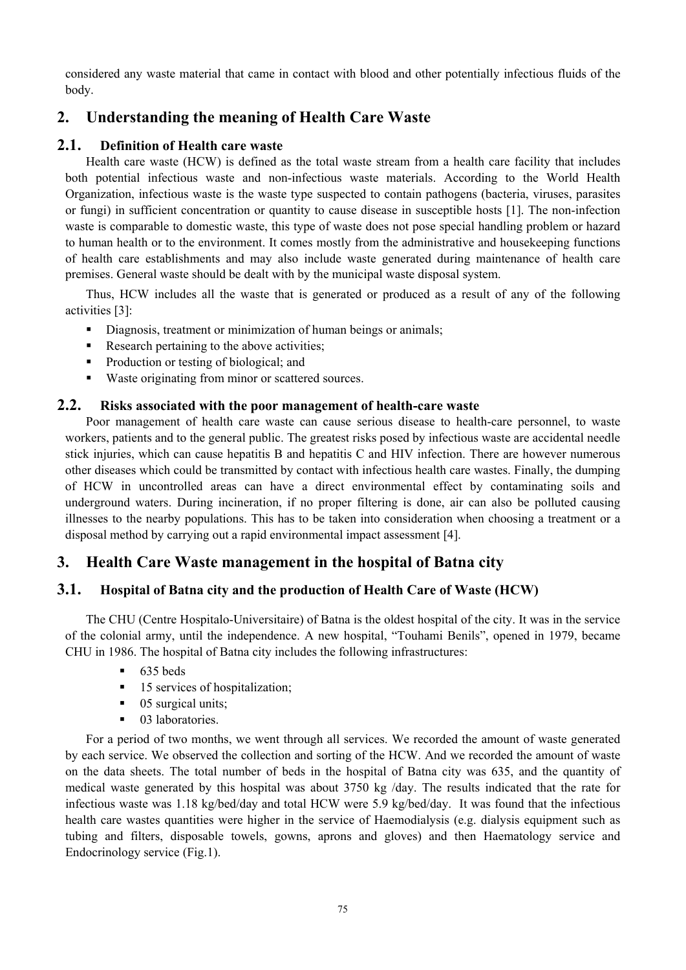considered any waste material that came in contact with blood and other potentially infectious fluids of the body.

# **2. Understanding the meaning of Health Care Waste**

### **2.1. Definition of Health care waste**

Health care waste (HCW) is defined as the total waste stream from a health care facility that includes both potential infectious waste and non-infectious waste materials. According to the World Health Organization, infectious waste is the waste type suspected to contain pathogens (bacteria, viruses, parasites or fungi) in sufficient concentration or quantity to cause disease in susceptible hosts [1]. The non-infection waste is comparable to domestic waste, this type of waste does not pose special handling problem or hazard to human health or to the environment. It comes mostly from the administrative and housekeeping functions of health care establishments and may also include waste generated during maintenance of health care premises. General waste should be dealt with by the municipal waste disposal system.

Thus, HCW includes all the waste that is generated or produced as a result of any of the following activities [3]:

- Diagnosis, treatment or minimization of human beings or animals;
- Research pertaining to the above activities;
- Production or testing of biological; and
- Waste originating from minor or scattered sources.

#### **2.2. Risks associated with the poor management of health-care waste**

Poor management of health care waste can cause serious disease to health-care personnel, to waste workers, patients and to the general public. The greatest risks posed by infectious waste are accidental needle stick injuries, which can cause hepatitis B and hepatitis C and HIV infection. There are however numerous other diseases which could be transmitted by contact with infectious health care wastes. Finally, the dumping of HCW in uncontrolled areas can have a direct environmental effect by contaminating soils and underground waters. During incineration, if no proper filtering is done, air can also be polluted causing illnesses to the nearby populations. This has to be taken into consideration when choosing a treatment or a disposal method by carrying out a rapid environmental impact assessment [4].

# **3. Health Care Waste management in the hospital of Batna city**

# **3.1. Hospital of Batna city and the production of Health Care of Waste (HCW)**

The CHU (Centre Hospitalo-Universitaire) of Batna is the oldest hospital of the city. It was in the service of the colonial army, until the independence. A new hospital, "Touhami Benils", opened in 1979, became CHU in 1986. The hospital of Batna city includes the following infrastructures:

- $-635$  beds
- 15 services of hospitalization;
- 05 surgical units:
- **03** laboratories.

For a period of two months, we went through all services. We recorded the amount of waste generated by each service. We observed the collection and sorting of the HCW. And we recorded the amount of waste on the data sheets. The total number of beds in the hospital of Batna city was 635, and the quantity of medical waste generated by this hospital was about 3750 kg /day. The results indicated that the rate for infectious waste was 1.18 kg/bed/day and total HCW were 5.9 kg/bed/day. It was found that the infectious health care wastes quantities were higher in the service of Haemodialysis (e.g. dialysis equipment such as tubing and filters, disposable towels, gowns, aprons and gloves) and then Haematology service and Endocrinology service (Fig.1).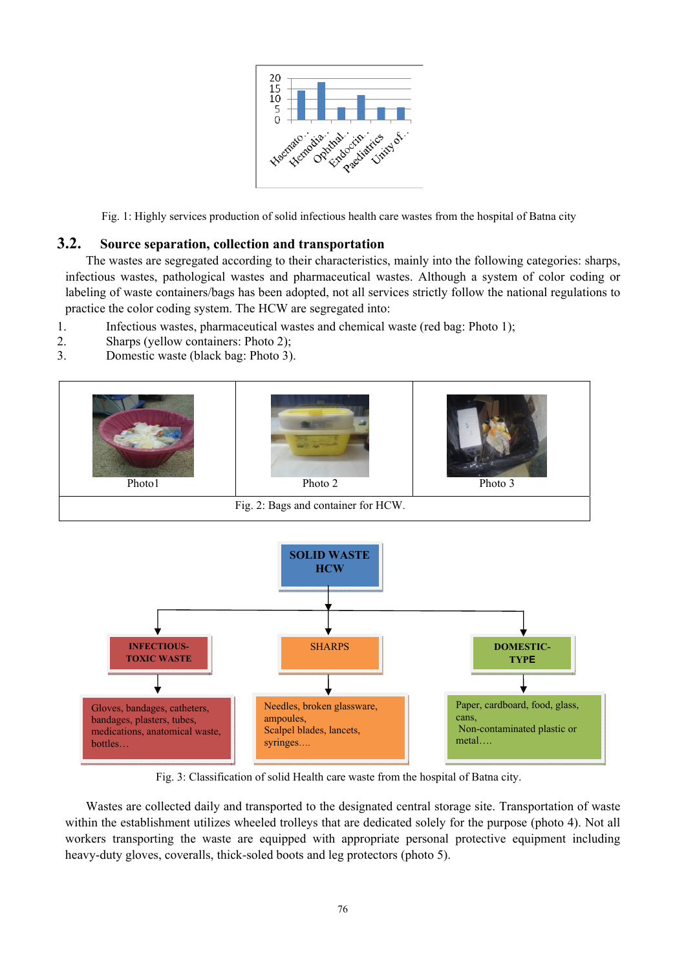

Fig. 1: Highly services production of solid infectious health care wastes from the hospital of Batna city

#### **3.2. Source separation, collection and transportation**

The wastes are segregated according to their characteristics, mainly into the following categories: sharps, infectious wastes, pathological wastes and pharmaceutical wastes. Although a system of color coding or labeling of waste containers/bags has been adopted, not all services strictly follow the national regulations to practice the color coding system. The HCW are segregated into:

- 1. Infectious wastes, pharmaceutical wastes and chemical waste (red bag: Photo 1);
- 2. Sharps (yellow containers: Photo 2);
- 3. Domestic waste (black bag: Photo 3).





Fig. 3: Classification of solid Health care waste from the hospital of Batna city.

Wastes are collected daily and transported to the designated central storage site. Transportation of waste within the establishment utilizes wheeled trolleys that are dedicated solely for the purpose (photo 4). Not all workers transporting the waste are equipped with appropriate personal protective equipment including heavy-duty gloves, coveralls, thick-soled boots and leg protectors (photo 5).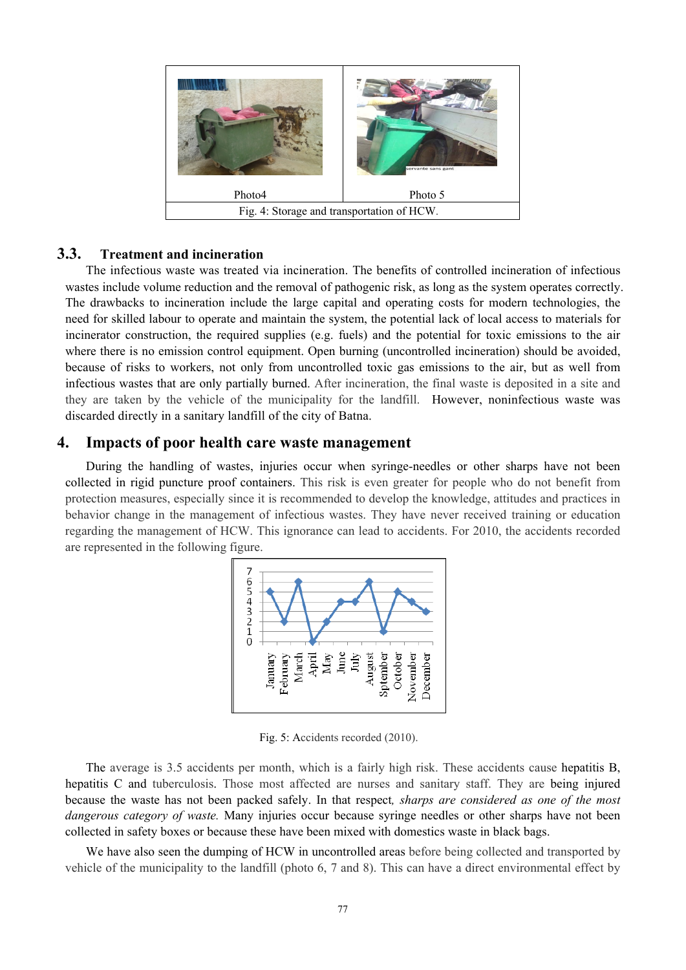

#### **3.3. Treatment and incineration**

The infectious waste was treated via incineration. The benefits of controlled incineration of infectious wastes include volume reduction and the removal of pathogenic risk, as long as the system operates correctly. The drawbacks to incineration include the large capital and operating costs for modern technologies, the need for skilled labour to operate and maintain the system, the potential lack of local access to materials for incinerator construction, the required supplies (e.g. fuels) and the potential for toxic emissions to the air where there is no emission control equipment. Open burning (uncontrolled incineration) should be avoided, because of risks to workers, not only from uncontrolled toxic gas emissions to the air, but as well from infectious wastes that are only partially burned. After incineration, the final waste is deposited in a site and they are taken by the vehicle of the municipality for the landfill. However, noninfectious waste was discarded directly in a sanitary landfill of the city of Batna.

#### **4. Impacts of poor health care waste management**

During the handling of wastes, injuries occur when syringe-needles or other sharps have not been collected in rigid puncture proof containers. This risk is even greater for people who do not benefit from protection measures, especially since it is recommended to develop the knowledge, attitudes and practices in behavior change in the management of infectious wastes. They have never received training or education regarding the management of HCW. This ignorance can lead to accidents. For 2010, the accidents recorded are represented in the following figure.



Fig. 5: Accidents recorded (2010).

The average is 3.5 accidents per month, which is a fairly high risk. These accidents cause hepatitis B, hepatitis C and tuberculosis. Those most affected are nurses and sanitary staff. They are being injured because the waste has not been packed safely. In that respect*, sharps are considered as one of the most dangerous category of waste.* Many injuries occur because syringe needles or other sharps have not been collected in safety boxes or because these have been mixed with domestics waste in black bags.

We have also seen the dumping of HCW in uncontrolled areas before being collected and transported by vehicle of the municipality to the landfill (photo 6, 7 and 8). This can have a direct environmental effect by